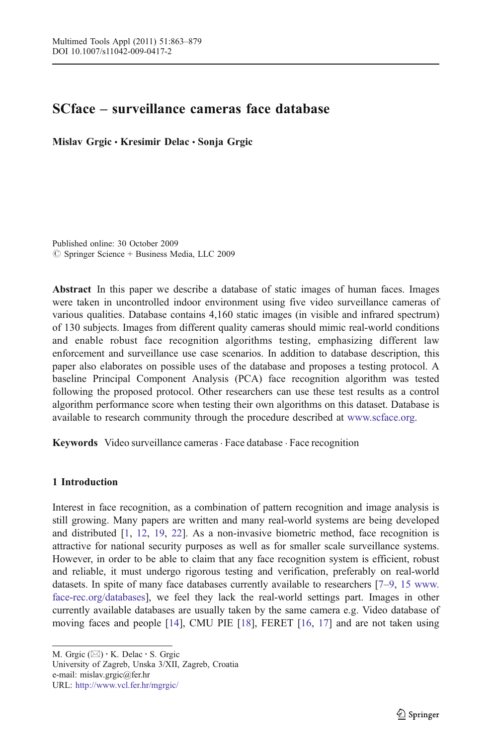# SCface – surveillance cameras face database

Mislav Grgic • Kresimir Delac • Sonja Grgic

Published online: 30 October 2009  $\oslash$  Springer Science + Business Media, LLC 2009

Abstract In this paper we describe a database of static images of human faces. Images were taken in uncontrolled indoor environment using five video surveillance cameras of various qualities. Database contains 4,160 static images (in visible and infrared spectrum) of 130 subjects. Images from different quality cameras should mimic real-world conditions and enable robust face recognition algorithms testing, emphasizing different law enforcement and surveillance use case scenarios. In addition to database description, this paper also elaborates on possible uses of the database and proposes a testing protocol. A baseline Principal Component Analysis (PCA) face recognition algorithm was tested following the proposed protocol. Other researchers can use these test results as a control algorithm performance score when testing their own algorithms on this dataset. Database is available to research community through the procedure described at [www.scface.org.](http://www.scface.org)

Keywords Video surveillance cameras . Face database . Face recognition

### 1 Introduction

Interest in face recognition, as a combination of pattern recognition and image analysis is still growing. Many papers are written and many real-world systems are being developed and distributed [\[1,](#page-14-0) [12](#page-14-0), [19](#page-14-0), [22\]](#page-14-0). As a non-invasive biometric method, face recognition is attractive for national security purposes as well as for smaller scale surveillance systems. However, in order to be able to claim that any face recognition system is efficient, robust and reliable, it must undergo rigorous testing and verification, preferably on real-world datasets. In spite of many face databases currently available to researchers [\[7](#page-14-0)–[9](#page-14-0), [15](#page-14-0) [www.](http://www.face-rec.org/databases) [face-rec.org/databases\]](http://www.face-rec.org/databases), we feel they lack the real-world settings part. Images in other currently available databases are usually taken by the same camera e.g. Video database of moving faces and people [[14](#page-14-0)], CMU PIE [\[18\]](#page-14-0), FERET [[16](#page-14-0), [17\]](#page-14-0) and are not taken using

M. Grgic  $(\boxtimes) \cdot$  K. Delac  $\cdot$  S. Grgic University of Zagreb, Unska 3/XII, Zagreb, Croatia e-mail: mislav.grgic@fer.hr URL: http://www.vcl.fer.hr/mgrgic/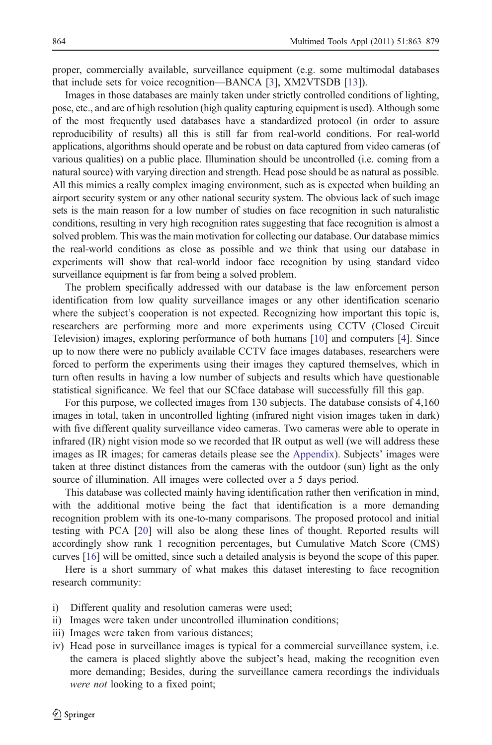proper, commercially available, surveillance equipment (e.g. some multimodal databases that include sets for voice recognition—BANCA [\[3](#page-14-0)], XM2VTSDB [[13](#page-14-0)]).

Images in those databases are mainly taken under strictly controlled conditions of lighting, pose, etc., and are of high resolution (high quality capturing equipment is used). Although some of the most frequently used databases have a standardized protocol (in order to assure reproducibility of results) all this is still far from real-world conditions. For real-world applications, algorithms should operate and be robust on data captured from video cameras (of various qualities) on a public place. Illumination should be uncontrolled (i.e. coming from a natural source) with varying direction and strength. Head pose should be as natural as possible. All this mimics a really complex imaging environment, such as is expected when building an airport security system or any other national security system. The obvious lack of such image sets is the main reason for a low number of studies on face recognition in such naturalistic conditions, resulting in very high recognition rates suggesting that face recognition is almost a solved problem. This was the main motivation for collecting our database. Our database mimics the real-world conditions as close as possible and we think that using our database in experiments will show that real-world indoor face recognition by using standard video surveillance equipment is far from being a solved problem.

The problem specifically addressed with our database is the law enforcement person identification from low quality surveillance images or any other identification scenario where the subject's cooperation is not expected. Recognizing how important this topic is, researchers are performing more and more experiments using CCTV (Closed Circuit Television) images, exploring performance of both humans [\[10\]](#page-14-0) and computers [\[4](#page-14-0)]. Since up to now there were no publicly available CCTV face images databases, researchers were forced to perform the experiments using their images they captured themselves, which in turn often results in having a low number of subjects and results which have questionable statistical significance. We feel that our SCface database will successfully fill this gap.

For this purpose, we collected images from 130 subjects. The database consists of 4,160 images in total, taken in uncontrolled lighting (infrared night vision images taken in dark) with five different quality surveillance video cameras. Two cameras were able to operate in infrared (IR) night vision mode so we recorded that IR output as well (we will address these images as IR images; for cameras details please see the [Appendix\)](#page-13-0). Subjects' images were taken at three distinct distances from the cameras with the outdoor (sun) light as the only source of illumination. All images were collected over a 5 days period.

This database was collected mainly having identification rather then verification in mind, with the additional motive being the fact that identification is a more demanding recognition problem with its one-to-many comparisons. The proposed protocol and initial testing with PCA [\[20](#page-14-0)] will also be along these lines of thought. Reported results will accordingly show rank 1 recognition percentages, but Cumulative Match Score (CMS) curves [[16](#page-14-0)] will be omitted, since such a detailed analysis is beyond the scope of this paper.

Here is a short summary of what makes this dataset interesting to face recognition research community:

- i) Different quality and resolution cameras were used;
- ii) Images were taken under uncontrolled illumination conditions;
- iii) Images were taken from various distances;
- iv) Head pose in surveillance images is typical for a commercial surveillance system, i.e. the camera is placed slightly above the subject's head, making the recognition even more demanding; Besides, during the surveillance camera recordings the individuals were not looking to a fixed point;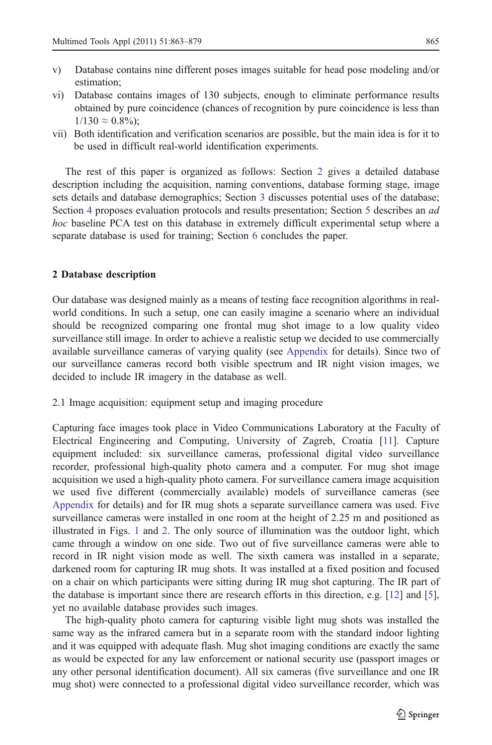- v) Database contains nine different poses images suitable for head pose modeling and/or estimation;
- vi) Database contains images of 130 subjects, enough to eliminate performance results obtained by pure coincidence (chances of recognition by pure coincidence is less than  $1/130 \approx 0.8\%$ :
- vii) Both identification and verification scenarios are possible, but the main idea is for it to be used in difficult real-world identification experiments.

The rest of this paper is organized as follows: Section 2 gives a detailed database description including the acquisition, naming conventions, database forming stage, image sets details and database demographics; Section [3](#page-8-0) discusses potential uses of the database; Section [4](#page-8-0) proposes evaluation protocols and results presentation; Section [5](#page-9-0) describes an *ad* hoc baseline PCA test on this database in extremely difficult experimental setup where a separate database is used for training; Section [6](#page-12-0) concludes the paper.

#### 2 Database description

Our database was designed mainly as a means of testing face recognition algorithms in realworld conditions. In such a setup, one can easily imagine a scenario where an individual should be recognized comparing one frontal mug shot image to a low quality video surveillance still image. In order to achieve a realistic setup we decided to use commercially available surveillance cameras of varying quality (see [Appendix](#page-13-0) for details). Since two of our surveillance cameras record both visible spectrum and IR night vision images, we decided to include IR imagery in the database as well.

2.1 Image acquisition: equipment setup and imaging procedure

Capturing face images took place in Video Communications Laboratory at the Faculty of Electrical Engineering and Computing, University of Zagreb, Croatia [\[11](#page-14-0)]. Capture equipment included: six surveillance cameras, professional digital video surveillance recorder, professional high-quality photo camera and a computer. For mug shot image acquisition we used a high-quality photo camera. For surveillance camera image acquisition we used five different (commercially available) models of surveillance cameras (see [Appendix](#page-13-0) for details) and for IR mug shots a separate surveillance camera was used. Five surveillance cameras were installed in one room at the height of 2.25 m and positioned as illustrated in Figs. [1](#page-3-0) and [2.](#page-3-0) The only source of illumination was the outdoor light, which came through a window on one side. Two out of five surveillance cameras were able to record in IR night vision mode as well. The sixth camera was installed in a separate, darkened room for capturing IR mug shots. It was installed at a fixed position and focused on a chair on which participants were sitting during IR mug shot capturing. The IR part of the database is important since there are research efforts in this direction, e.g. [[12\]](#page-14-0) and [\[5](#page-14-0)], yet no available database provides such images.

The high-quality photo camera for capturing visible light mug shots was installed the same way as the infrared camera but in a separate room with the standard indoor lighting and it was equipped with adequate flash. Mug shot imaging conditions are exactly the same as would be expected for any law enforcement or national security use (passport images or any other personal identification document). All six cameras (five surveillance and one IR mug shot) were connected to a professional digital video surveillance recorder, which was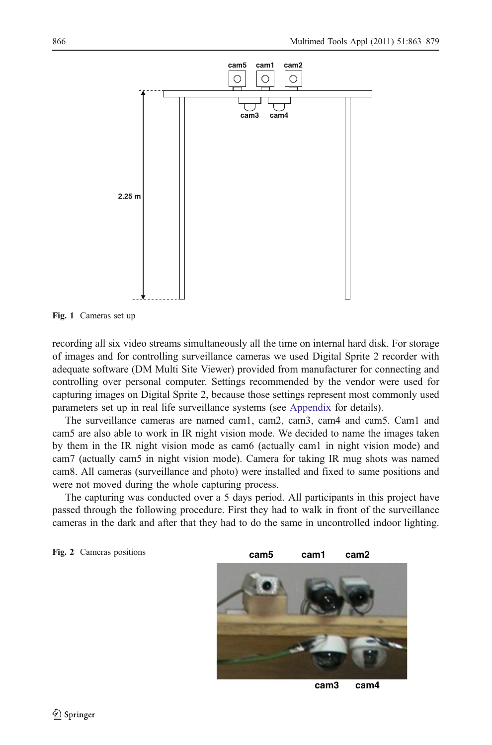<span id="page-3-0"></span>

Fig. 1 Cameras set up

Fig. 2 Cameras positions

recording all six video streams simultaneously all the time on internal hard disk. For storage of images and for controlling surveillance cameras we used Digital Sprite 2 recorder with adequate software (DM Multi Site Viewer) provided from manufacturer for connecting and controlling over personal computer. Settings recommended by the vendor were used for capturing images on Digital Sprite 2, because those settings represent most commonly used parameters set up in real life surveillance systems (see [Appendix](#page-13-0) for details).

The surveillance cameras are named cam1, cam2, cam3, cam4 and cam5. Cam1 and cam5 are also able to work in IR night vision mode. We decided to name the images taken by them in the IR night vision mode as cam6 (actually cam1 in night vision mode) and cam7 (actually cam5 in night vision mode). Camera for taking IR mug shots was named cam8. All cameras (surveillance and photo) were installed and fixed to same positions and were not moved during the whole capturing process.

The capturing was conducted over a 5 days period. All participants in this project have passed through the following procedure. First they had to walk in front of the surveillance cameras in the dark and after that they had to do the same in uncontrolled indoor lighting.



**cam3 cam4**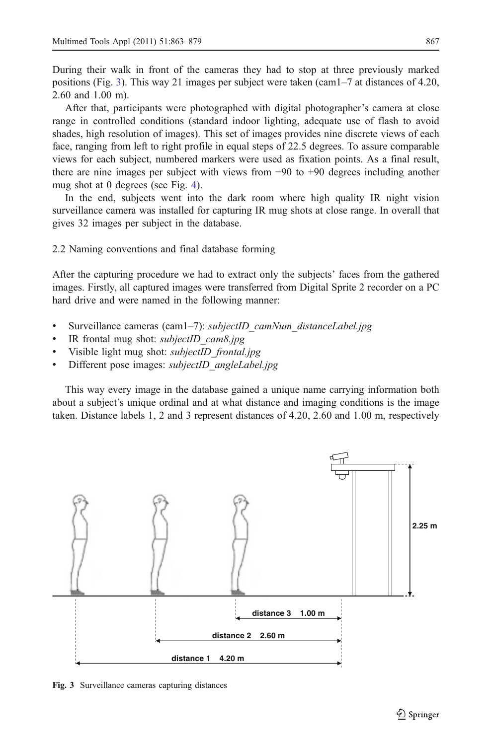<span id="page-4-0"></span>During their walk in front of the cameras they had to stop at three previously marked positions (Fig. 3). This way 21 images per subject were taken (cam1–7 at distances of 4.20, 2.60 and 1.00 m).

After that, participants were photographed with digital photographer's camera at close range in controlled conditions (standard indoor lighting, adequate use of flash to avoid shades, high resolution of images). This set of images provides nine discrete views of each face, ranging from left to right profile in equal steps of 22.5 degrees. To assure comparable views for each subject, numbered markers were used as fixation points. As a final result, there are nine images per subject with views from −90 to +90 degrees including another mug shot at 0 degrees (see Fig. [4\)](#page-5-0).

In the end, subjects went into the dark room where high quality IR night vision surveillance camera was installed for capturing IR mug shots at close range. In overall that gives 32 images per subject in the database.

2.2 Naming conventions and final database forming

After the capturing procedure we had to extract only the subjects' faces from the gathered images. Firstly, all captured images were transferred from Digital Sprite 2 recorder on a PC hard drive and were named in the following manner:

- Surveillance cameras (cam1–7): *subjectID* camNum distanceLabel.jpg
- IR frontal mug shot: *subjectID* cam8.jpg
- Visible light mug shot: *subjectID* frontal.jpg
- Different pose images: *subjectID* angleLabel.jpg

This way every image in the database gained a unique name carrying information both about a subject's unique ordinal and at what distance and imaging conditions is the image taken. Distance labels 1, 2 and 3 represent distances of 4.20, 2.60 and 1.00 m, respectively



Fig. 3 Surveillance cameras capturing distances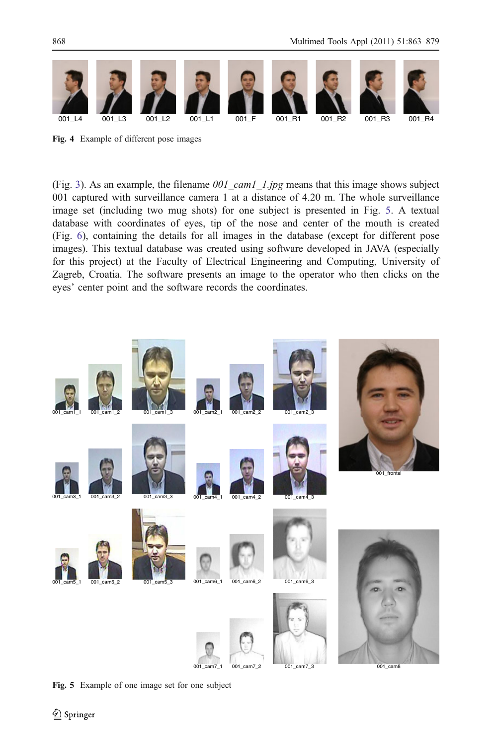<span id="page-5-0"></span>

Fig. 4 Example of different pose images

(Fig. [3\)](#page-4-0). As an example, the filename  $001\text{ cam1}$  1.jpg means that this image shows subject 001 captured with surveillance camera 1 at a distance of 4.20 m. The whole surveillance image set (including two mug shots) for one subject is presented in Fig. 5. A textual database with coordinates of eyes, tip of the nose and center of the mouth is created (Fig. [6\)](#page-6-0), containing the details for all images in the database (except for different pose images). This textual database was created using software developed in JAVA (especially for this project) at the Faculty of Electrical Engineering and Computing, University of Zagreb, Croatia. The software presents an image to the operator who then clicks on the eyes' center point and the software records the coordinates.



Fig. 5 Example of one image set for one subject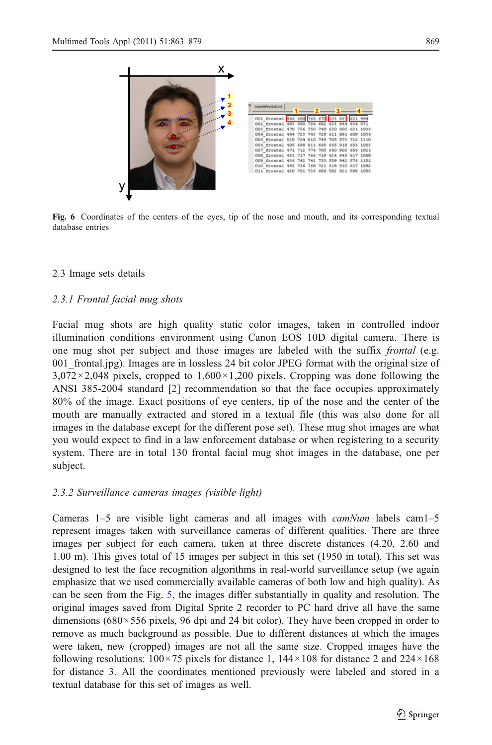<span id="page-6-0"></span>

Fig. 6 Coordinates of the centers of the eyes, tip of the nose and mouth, and its corresponding textual database entries

### 2.3 Image sets details

### 2.3.1 Frontal facial mug shots

Facial mug shots are high quality static color images, taken in controlled indoor illumination conditions environment using Canon EOS 10D digital camera. There is one mug shot per subject and those images are labeled with the suffix frontal (e.g. 001\_frontal.jpg). Images are in lossless 24 bit color JPEG format with the original size of  $3,072\times2,048$  pixels, cropped to  $1,600\times1,200$  pixels. Cropping was done following the ANSI 385-2004 standard [\[2](#page-14-0)] recommendation so that the face occupies approximately 80% of the image. Exact positions of eye centers, tip of the nose and the center of the mouth are manually extracted and stored in a textual file (this was also done for all images in the database except for the different pose set). These mug shot images are what you would expect to find in a law enforcement database or when registering to a security system. There are in total 130 frontal facial mug shot images in the database, one per subject.

### 2.3.2 Surveillance cameras images (visible light)

Cameras 1–5 are visible light cameras and all images with  $camNum$  labels cam1–5 represent images taken with surveillance cameras of different qualities. There are three images per subject for each camera, taken at three discrete distances (4.20, 2.60 and 1.00 m). This gives total of 15 images per subject in this set (1950 in total). This set was designed to test the face recognition algorithms in real-world surveillance setup (we again emphasize that we used commercially available cameras of both low and high quality). As can be seen from the Fig. [5,](#page-5-0) the images differ substantially in quality and resolution. The original images saved from Digital Sprite 2 recorder to PC hard drive all have the same dimensions (680×556 pixels, 96 dpi and 24 bit color). They have been cropped in order to remove as much background as possible. Due to different distances at which the images were taken, new (cropped) images are not all the same size. Cropped images have the following resolutions:  $100 \times 75$  pixels for distance 1,  $144 \times 108$  for distance 2 and  $224 \times 168$ for distance 3. All the coordinates mentioned previously were labeled and stored in a textual database for this set of images as well.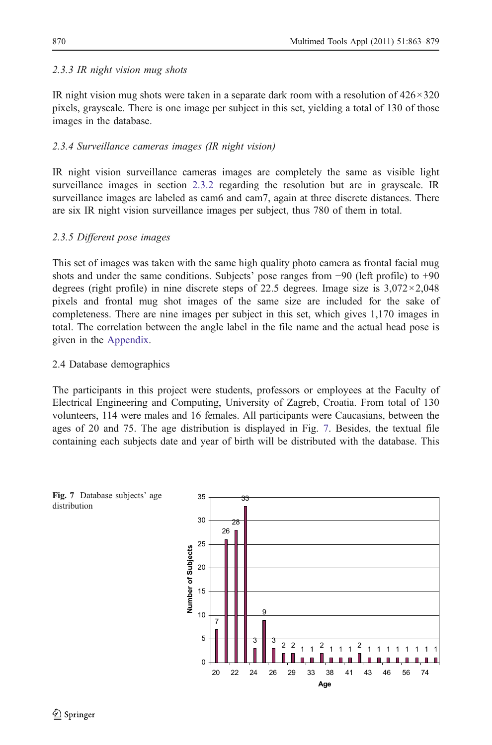### 2.3.3 IR night vision mug shots

IR night vision mug shots were taken in a separate dark room with a resolution of 426×320 pixels, grayscale. There is one image per subject in this set, yielding a total of 130 of those images in the database.

### 2.3.4 Surveillance cameras images (IR night vision)

IR night vision surveillance cameras images are completely the same as visible light surveillance images in section [2.3.2](#page-6-0) regarding the resolution but are in grayscale. IR surveillance images are labeled as cam6 and cam7, again at three discrete distances. There are six IR night vision surveillance images per subject, thus 780 of them in total.

### 2.3.5 Different pose images

This set of images was taken with the same high quality photo camera as frontal facial mug shots and under the same conditions. Subjects' pose ranges from −90 (left profile) to +90 degrees (right profile) in nine discrete steps of 22.5 degrees. Image size is  $3,072 \times 2,048$ pixels and frontal mug shot images of the same size are included for the sake of completeness. There are nine images per subject in this set, which gives 1,170 images in total. The correlation between the angle label in the file name and the actual head pose is given in the [Appendix.](#page-13-0)

### 2.4 Database demographics

The participants in this project were students, professors or employees at the Faculty of Electrical Engineering and Computing, University of Zagreb, Croatia. From total of 130 volunteers, 114 were males and 16 females. All participants were Caucasians, between the ages of 20 and 75. The age distribution is displayed in Fig. 7. Besides, the textual file containing each subjects date and year of birth will be distributed with the database. This

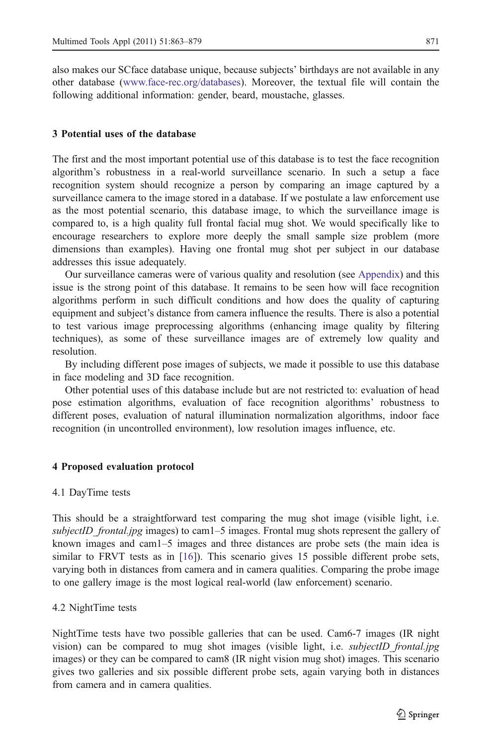<span id="page-8-0"></span>also makes our SCface database unique, because subjects' birthdays are not available in any other database ([www.face-rec.org/databases](http://www.face-rec.org/databases)). Moreover, the textual file will contain the following additional information: gender, beard, moustache, glasses.

#### 3 Potential uses of the database

The first and the most important potential use of this database is to test the face recognition algorithm's robustness in a real-world surveillance scenario. In such a setup a face recognition system should recognize a person by comparing an image captured by a surveillance camera to the image stored in a database. If we postulate a law enforcement use as the most potential scenario, this database image, to which the surveillance image is compared to, is a high quality full frontal facial mug shot. We would specifically like to encourage researchers to explore more deeply the small sample size problem (more dimensions than examples). Having one frontal mug shot per subject in our database addresses this issue adequately.

Our surveillance cameras were of various quality and resolution (see [Appendix](#page-13-0)) and this issue is the strong point of this database. It remains to be seen how will face recognition algorithms perform in such difficult conditions and how does the quality of capturing equipment and subject's distance from camera influence the results. There is also a potential to test various image preprocessing algorithms (enhancing image quality by filtering techniques), as some of these surveillance images are of extremely low quality and resolution.

By including different pose images of subjects, we made it possible to use this database in face modeling and 3D face recognition.

Other potential uses of this database include but are not restricted to: evaluation of head pose estimation algorithms, evaluation of face recognition algorithms' robustness to different poses, evaluation of natural illumination normalization algorithms, indoor face recognition (in uncontrolled environment), low resolution images influence, etc.

#### 4 Proposed evaluation protocol

#### 4.1 DayTime tests

This should be a straightforward test comparing the mug shot image (visible light, i.e. subjectID\_frontal.jpg images) to cam1–5 images. Frontal mug shots represent the gallery of known images and cam1–5 images and three distances are probe sets (the main idea is similar to FRVT tests as in [\[16\]](#page-14-0)). This scenario gives 15 possible different probe sets, varying both in distances from camera and in camera qualities. Comparing the probe image to one gallery image is the most logical real-world (law enforcement) scenario.

#### 4.2 NightTime tests

NightTime tests have two possible galleries that can be used. Cam6-7 images (IR night vision) can be compared to mug shot images (visible light, i.e. *subjectID frontal.jpg* images) or they can be compared to cam8 (IR night vision mug shot) images. This scenario gives two galleries and six possible different probe sets, again varying both in distances from camera and in camera qualities.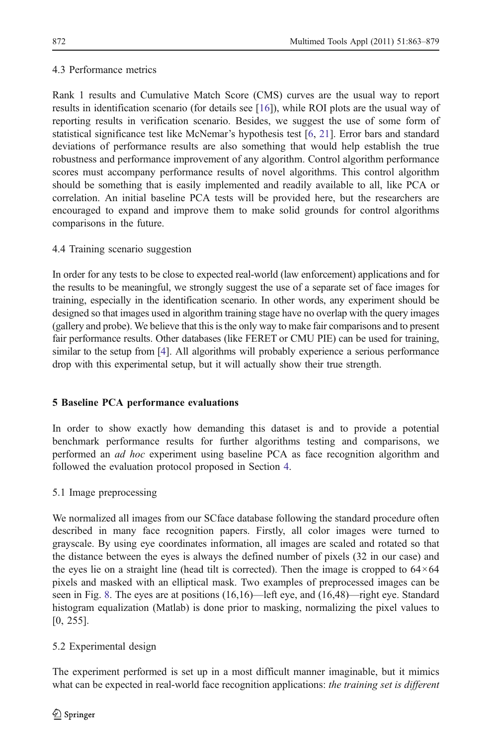## <span id="page-9-0"></span>4.3 Performance metrics

Rank 1 results and Cumulative Match Score (CMS) curves are the usual way to report results in identification scenario (for details see [[16](#page-14-0)]), while ROI plots are the usual way of reporting results in verification scenario. Besides, we suggest the use of some form of statistical significance test like McNemar's hypothesis test [\[6](#page-14-0), [21\]](#page-14-0). Error bars and standard deviations of performance results are also something that would help establish the true robustness and performance improvement of any algorithm. Control algorithm performance scores must accompany performance results of novel algorithms. This control algorithm should be something that is easily implemented and readily available to all, like PCA or correlation. An initial baseline PCA tests will be provided here, but the researchers are encouraged to expand and improve them to make solid grounds for control algorithms comparisons in the future.

## 4.4 Training scenario suggestion

In order for any tests to be close to expected real-world (law enforcement) applications and for the results to be meaningful, we strongly suggest the use of a separate set of face images for training, especially in the identification scenario. In other words, any experiment should be designed so that images used in algorithm training stage have no overlap with the query images (gallery and probe). We believe that this is the only way to make fair comparisons and to present fair performance results. Other databases (like FERET or CMU PIE) can be used for training, similar to the setup from [[4](#page-14-0)]. All algorithms will probably experience a serious performance drop with this experimental setup, but it will actually show their true strength.

## 5 Baseline PCA performance evaluations

In order to show exactly how demanding this dataset is and to provide a potential benchmark performance results for further algorithms testing and comparisons, we performed an ad hoc experiment using baseline PCA as face recognition algorithm and followed the evaluation protocol proposed in Section [4](#page-8-0).

## 5.1 Image preprocessing

We normalized all images from our SCface database following the standard procedure often described in many face recognition papers. Firstly, all color images were turned to grayscale. By using eye coordinates information, all images are scaled and rotated so that the distance between the eyes is always the defined number of pixels (32 in our case) and the eyes lie on a straight line (head tilt is corrected). Then the image is cropped to  $64 \times 64$ pixels and masked with an elliptical mask. Two examples of preprocessed images can be seen in Fig. [8.](#page-10-0) The eyes are at positions (16,16)—left eye, and (16,48)—right eye. Standard histogram equalization (Matlab) is done prior to masking, normalizing the pixel values to [0, 255].

## 5.2 Experimental design

The experiment performed is set up in a most difficult manner imaginable, but it mimics what can be expected in real-world face recognition applications: *the training set is different*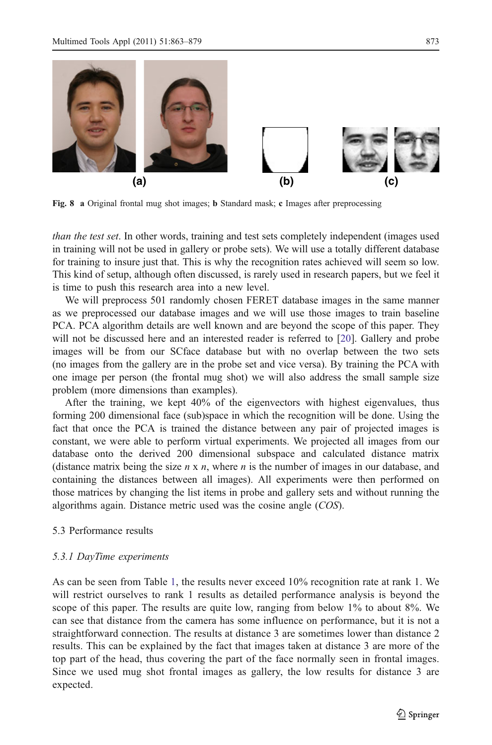<span id="page-10-0"></span>

Fig. 8 a Original frontal mug shot images; b Standard mask; c Images after preprocessing

than the test set. In other words, training and test sets completely independent (images used in training will not be used in gallery or probe sets). We will use a totally different database for training to insure just that. This is why the recognition rates achieved will seem so low. This kind of setup, although often discussed, is rarely used in research papers, but we feel it is time to push this research area into a new level.

We will preprocess 501 randomly chosen FERET database images in the same manner as we preprocessed our database images and we will use those images to train baseline PCA. PCA algorithm details are well known and are beyond the scope of this paper. They will not be discussed here and an interested reader is referred to [\[20\]](#page-14-0). Gallery and probe images will be from our SCface database but with no overlap between the two sets (no images from the gallery are in the probe set and vice versa). By training the PCA with one image per person (the frontal mug shot) we will also address the small sample size problem (more dimensions than examples).

After the training, we kept 40% of the eigenvectors with highest eigenvalues, thus forming 200 dimensional face (sub)space in which the recognition will be done. Using the fact that once the PCA is trained the distance between any pair of projected images is constant, we were able to perform virtual experiments. We projected all images from our database onto the derived 200 dimensional subspace and calculated distance matrix (distance matrix being the size  $n \times n$ , where n is the number of images in our database, and containing the distances between all images). All experiments were then performed on those matrices by changing the list items in probe and gallery sets and without running the algorithms again. Distance metric used was the cosine angle (COS).

### 5.3 Performance results

#### 5.3.1 DayTime experiments

As can be seen from Table [1](#page-11-0), the results never exceed 10% recognition rate at rank 1. We will restrict ourselves to rank 1 results as detailed performance analysis is beyond the scope of this paper. The results are quite low, ranging from below 1% to about 8%. We can see that distance from the camera has some influence on performance, but it is not a straightforward connection. The results at distance 3 are sometimes lower than distance 2 results. This can be explained by the fact that images taken at distance 3 are more of the top part of the head, thus covering the part of the face normally seen in frontal images. Since we used mug shot frontal images as gallery, the low results for distance 3 are expected.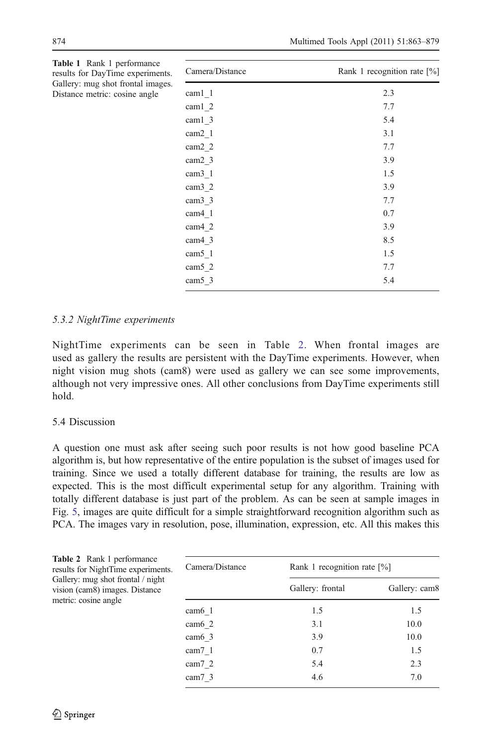| Camera/Distance    | Rank 1 recognition rate $[\%]$ |
|--------------------|--------------------------------|
| cam1 1             | 2.3                            |
| cam1 2             | 7.7                            |
| cam1 3             | 5.4                            |
| cam <sub>2</sub> 1 | 3.1                            |
| cam <sub>2</sub> 2 | 7.7                            |
| cam <sub>2</sub> 3 | 3.9                            |
| cam <sub>3</sub> 1 | 1.5                            |
| cam <sub>3</sub> 2 | 3.9                            |
| cam <sub>3</sub> 3 | 7.7                            |
| cam4 1             | 0.7                            |
| $cam4_2$           | 3.9                            |
| cam4 3             | 8.5                            |
| $cam5_1$           | 1.5                            |
| cam5 2             | 7.7                            |
| cam5 3             | 5.4                            |
|                    |                                |

<span id="page-11-0"></span>

| Table 1 Rank 1 performance        |
|-----------------------------------|
| results for DayTime experiments.  |
| Gallery: mug shot frontal images. |
| Distance metric: cosine angle     |

### 5.3.2 NightTime experiments

NightTime experiments can be seen in Table 2. When frontal images are used as gallery the results are persistent with the DayTime experiments. However, when night vision mug shots (cam8) were used as gallery we can see some improvements, although not very impressive ones. All other conclusions from DayTime experiments still hold.

### 5.4 Discussion

A question one must ask after seeing such poor results is not how good baseline PCA algorithm is, but how representative of the entire population is the subset of images used for training. Since we used a totally different database for training, the results are low as expected. This is the most difficult experimental setup for any algorithm. Training with totally different database is just part of the problem. As can be seen at sample images in Fig. [5](#page-5-0), images are quite difficult for a simple straightforward recognition algorithm such as PCA. The images vary in resolution, pose, illumination, expression, etc. All this makes this

| <b>Table 2</b> Rank 1 performance<br>results for NightTime experiments.                     | Camera/Distance   | Rank 1 recognition rate $[\%]$ |               |  |
|---------------------------------------------------------------------------------------------|-------------------|--------------------------------|---------------|--|
| Gallery: mug shot frontal / night<br>vision (cam8) images. Distance<br>metric: cosine angle |                   | Gallery: frontal               | Gallery: cam8 |  |
|                                                                                             | $cam6$ 1          | 1.5                            | 1.5           |  |
|                                                                                             | $cam6$ 2          | 3.1                            | 10.0          |  |
|                                                                                             | cam6 <sub>3</sub> | 3.9                            | 10.0          |  |
|                                                                                             | cam $7\,1$        | 0.7                            | 1.5           |  |
|                                                                                             | cam $7\,2$        | 5.4                            | 2.3           |  |
|                                                                                             | cam $7\,3$        | 4.6                            | 7.0           |  |
|                                                                                             |                   |                                |               |  |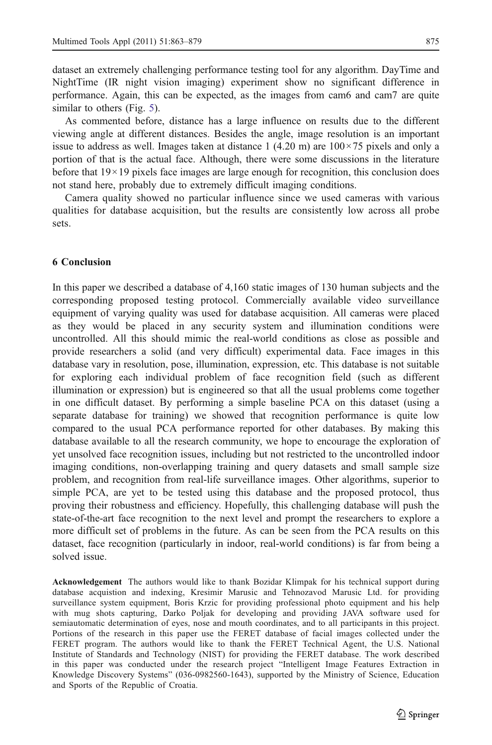<span id="page-12-0"></span>dataset an extremely challenging performance testing tool for any algorithm. DayTime and NightTime (IR night vision imaging) experiment show no significant difference in performance. Again, this can be expected, as the images from cam6 and cam7 are quite similar to others (Fig. [5\)](#page-5-0).

As commented before, distance has a large influence on results due to the different viewing angle at different distances. Besides the angle, image resolution is an important issue to address as well. Images taken at distance 1 (4.20 m) are  $100 \times 75$  pixels and only a portion of that is the actual face. Although, there were some discussions in the literature before that  $19 \times 19$  pixels face images are large enough for recognition, this conclusion does not stand here, probably due to extremely difficult imaging conditions.

Camera quality showed no particular influence since we used cameras with various qualities for database acquisition, but the results are consistently low across all probe sets.

### 6 Conclusion

In this paper we described a database of 4,160 static images of 130 human subjects and the corresponding proposed testing protocol. Commercially available video surveillance equipment of varying quality was used for database acquisition. All cameras were placed as they would be placed in any security system and illumination conditions were uncontrolled. All this should mimic the real-world conditions as close as possible and provide researchers a solid (and very difficult) experimental data. Face images in this database vary in resolution, pose, illumination, expression, etc. This database is not suitable for exploring each individual problem of face recognition field (such as different illumination or expression) but is engineered so that all the usual problems come together in one difficult dataset. By performing a simple baseline PCA on this dataset (using a separate database for training) we showed that recognition performance is quite low compared to the usual PCA performance reported for other databases. By making this database available to all the research community, we hope to encourage the exploration of yet unsolved face recognition issues, including but not restricted to the uncontrolled indoor imaging conditions, non-overlapping training and query datasets and small sample size problem, and recognition from real-life surveillance images. Other algorithms, superior to simple PCA, are yet to be tested using this database and the proposed protocol, thus proving their robustness and efficiency. Hopefully, this challenging database will push the state-of-the-art face recognition to the next level and prompt the researchers to explore a more difficult set of problems in the future. As can be seen from the PCA results on this dataset, face recognition (particularly in indoor, real-world conditions) is far from being a solved issue.

Acknowledgement The authors would like to thank Bozidar Klimpak for his technical support during database acquistion and indexing, Kresimir Marusic and Tehnozavod Marusic Ltd. for providing surveillance system equipment, Boris Krzic for providing professional photo equipment and his help with mug shots capturing, Darko Poljak for developing and providing JAVA software used for semiautomatic determination of eyes, nose and mouth coordinates, and to all participants in this project. Portions of the research in this paper use the FERET database of facial images collected under the FERET program. The authors would like to thank the FERET Technical Agent, the U.S. National Institute of Standards and Technology (NIST) for providing the FERET database. The work described in this paper was conducted under the research project "Intelligent Image Features Extraction in Knowledge Discovery Systems" (036-0982560-1643), supported by the Ministry of Science, Education and Sports of the Republic of Croatia.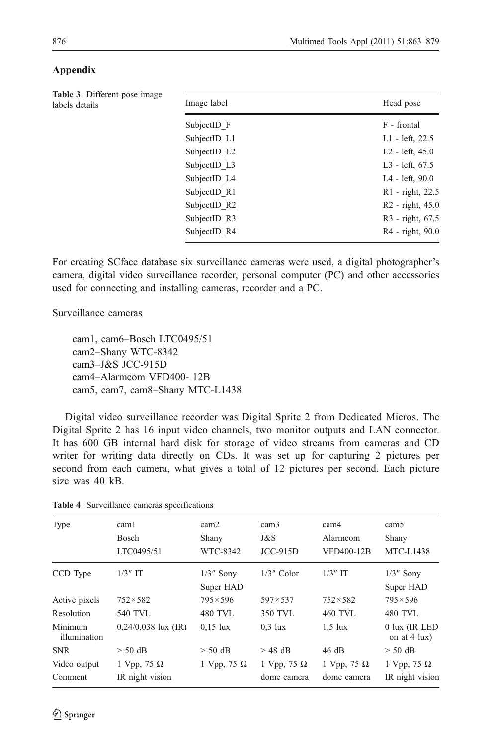| Table 3 Different pose image<br>labels details | Image label  | Head pose                    |  |  |
|------------------------------------------------|--------------|------------------------------|--|--|
|                                                | SubjectID F  | F - frontal                  |  |  |
|                                                | SubjectID L1 | L1 - left, 22.5              |  |  |
|                                                | SubjectID L2 | L <sub>2</sub> - left, 45.0  |  |  |
|                                                | SubjectID L3 | L3 - left, 67.5              |  |  |
|                                                | SubjectID L4 | L4 - left, 90.0              |  |  |
|                                                | SubjectID R1 | R1 - right, 22.5             |  |  |
|                                                | SubjectID R2 | R <sub>2</sub> - right, 45.0 |  |  |
|                                                | SubjectID R3 | R3 - right, 67.5             |  |  |
|                                                |              |                              |  |  |

### <span id="page-13-0"></span>Appendix

For creating SCface database six surveillance cameras were used, a digital photographer's camera, digital video surveillance recorder, personal computer (PC) and other accessories used for connecting and installing cameras, recorder and a PC.

SubjectID R4 R4 - right, 90.0

Surveillance cameras

cam1, cam6–Bosch LTC0495/51 cam2–Shany WTC-8342 cam3–J&S JCC-915D cam4–Alarmcom VFD400- 12B cam5, cam7, cam8–Shany MTC-L1438

Digital video surveillance recorder was Digital Sprite 2 from Dedicated Micros. The Digital Sprite 2 has 16 input video channels, two monitor outputs and LAN connector. It has 600 GB internal hard disk for storage of video streams from cameras and CD writer for writing data directly on CDs. It was set up for capturing 2 pictures per second from each camera, what gives a total of 12 pictures per second. Each picture size was 40 kB.

| Type                    | cam1<br>Bosch<br>LTC0495/51           | cam2<br>Shany<br>WTC-8342 | cam <sub>3</sub><br>J&S<br>$JCC-915D$ | cam4<br>Alarmcom<br>VFD400-12B    | cam <sub>5</sub><br>Shany<br><b>MTC-L1438</b> |
|-------------------------|---------------------------------------|---------------------------|---------------------------------------|-----------------------------------|-----------------------------------------------|
| CCD Type                | $1/3$ " IT                            | $1/3$ " Sony<br>Super HAD | $1/3$ " Color                         | $1/3$ " IT                        | $1/3$ " Sony<br>Super HAD                     |
| Active pixels           | $752 \times 582$                      | $795 \times 596$          | $597 \times 537$                      | $752 \times 582$                  | $795 \times 596$                              |
| Resolution              | <b>540 TVL</b>                        | 480 TVL                   | 350 TVL                               | 460 TVL                           | 480 TVL                                       |
| Minimum<br>illumination | $0,24/0,038$ lux (IR)                 | $0.15$ lux                | $0.3$ lux                             | $1.5$ lux                         | $0$ lux (IR LED<br>on at $4 \text{lux}$ )     |
| <b>SNR</b>              | $>$ 50 dB                             | $> 50$ dB                 | $>$ 48 dB                             | 46 dB                             | $> 50$ dB                                     |
| Video output<br>Comment | 1 Vpp, 75 $\Omega$<br>IR night vision | 1 Vpp, 75 $\Omega$        | 1 Vpp, 75 $\Omega$<br>dome camera     | 1 Vpp, 75 $\Omega$<br>dome camera | 1 Vpp, 75 $\Omega$<br>IR night vision         |

Table 4 Surveillance cameras specifications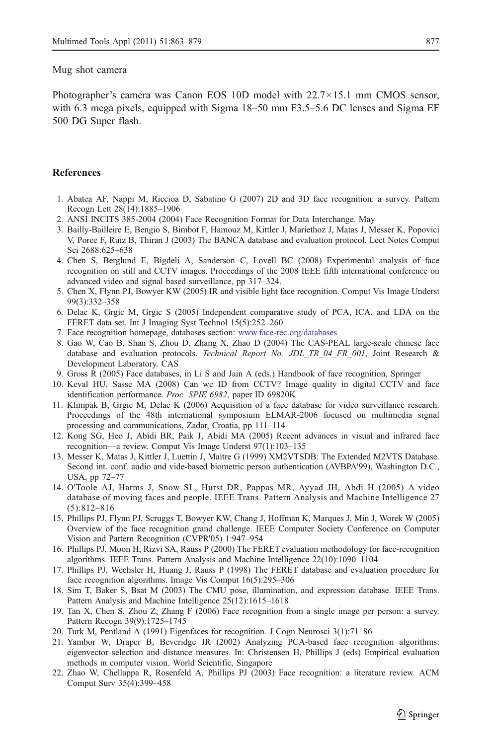#### <span id="page-14-0"></span>Mug shot camera

Photographer's camera was Canon EOS 10D model with 22.7×15.1 mm CMOS sensor, with 6.3 mega pixels, equipped with Sigma 18–50 mm F3.5–5.6 DC lenses and Sigma EF 500 DG Super flash.

### **References**

- 1. Abatea AF, Nappi M, Riccioa D, Sabatino G (2007) 2D and 3D face recognition: a survey. Pattern Recogn Lett 28(14):1885–1906
- 2. ANSI INCITS 385-2004 (2004) Face Recognition Format for Data Interchange. May
- 3. Bailly-Bailleire E, Bengio S, Bimbot F, Hamouz M, Kittler J, Mariethoz J, Matas J, Messer K, Popovici V, Poree F, Ruiz B, Thiran J (2003) The BANCA database and evaluation protocol. Lect Notes Comput Sci 2688:625–638
- 4. Chen S, Berglund E, Bigdeli A, Sanderson C, Lovell BC (2008) Experimental analysis of face recognition on still and CCTV images. Proceedings of the 2008 IEEE fifth international conference on advanced video and signal based surveillance, pp 317–324.
- 5. Chen X, Flynn PJ, Bowyer KW (2005) IR and visible light face recognition. Comput Vis Image Underst 99(3):332–358
- 6. Delac K, Grgic M, Grgic S (2005) Independent comparative study of PCA, ICA, and LDA on the FERET data set. Int J Imaging Syst Technol 15(5):252–260
- 7. Face recognition homepage, databases section: [www.face-rec.org/databases](http://www.face-rec.org/databases)
- 8. Gao W, Cao B, Shan S, Zhou D, Zhang X, Zhao D (2004) The CAS-PEAL large-scale chinese face database and evaluation protocols. Technical Report No. JDL TR 04 FR 001, Joint Research & Development Laboratory. CAS
- 9. Gross R (2005) Face databases, in Li S and Jain A (eds.) Handbook of face recognition, Springer
- 10. Keval HU, Sasse MA (2008) Can we ID from CCTV? Image quality in digital CCTV and face identification performance. Proc. SPIE 6982, paper ID 69820K
- 11. Klimpak B, Grgic M, Delac K (2006) Acquisition of a face database for video surveillance research. Proceedings of the 48th international symposium ELMAR-2006 focused on multimedia signal processing and communications, Zadar, Croatia, pp 111–114
- 12. Kong SG, Heo J, Abidi BR, Paik J, Abidi MA (2005) Recent advances in visual and infrared face recognition—a review. Comput Vis Image Underst 97(1):103–135
- 13. Messer K, Matas J, Kittler J, Luettin J, Maitre G (1999) XM2VTSDB: The Extended M2VTS Database. Second int. conf. audio and vide-based biometric person authentication (AVBPA'99), Washington D.C., USA, pp 72–77
- 14. O'Toole AJ, Harms J, Snow SL, Hurst DR, Pappas MR, Ayyad JH, Abdi H (2005) A video database of moving faces and people. IEEE Trans. Pattern Analysis and Machine Intelligence 27 (5):812–816
- 15. Phillips PJ, Flynn PJ, Scruggs T, Bowyer KW, Chang J, Hoffman K, Marques J, Min J, Worek W (2005) Overview of the face recognition grand challenge. IEEE Computer Society Conference on Computer Vision and Pattern Recognition (CVPR'05) 1:947–954
- 16. Phillips PJ, Moon H, Rizvi SA, Rauss P (2000) The FERET evaluation methodology for face-recognition algorithms. IEEE Trans. Pattern Analysis and Machine Intelligence 22(10):1090–1104
- 17. Phillips PJ, Wechsler H, Huang J, Rauss P (1998) The FERET database and evaluation procedure for face recognition algorithms. Image Vis Comput 16(5):295–306
- 18. Sim T, Baker S, Bsat M (2003) The CMU pose, illumination, and expression database. IEEE Trans. Pattern Analysis and Machine Intelligence 25(12):1615–1618
- 19. Tan X, Chen S, Zhou Z, Zhang F (2006) Face recognition from a single image per person: a survey. Pattern Recogn 39(9):1725–1745
- 20. Turk M, Pentland A (1991) Eigenfaces for recognition. J Cogn Neurosci 3(1):71–86
- 21. Yambor W, Draper B, Beveridge JR (2002) Analyzing PCA-based face recognition algorithms: eigenvector selection and distance measures. In: Christensen H, Phillips J (eds) Empirical evaluation methods in computer vision. World Scientific, Singapore
- 22. Zhao W, Chellappa R, Rosenfeld A, Phillips PJ (2003) Face recognition: a literature review. ACM Comput Surv 35(4):399–458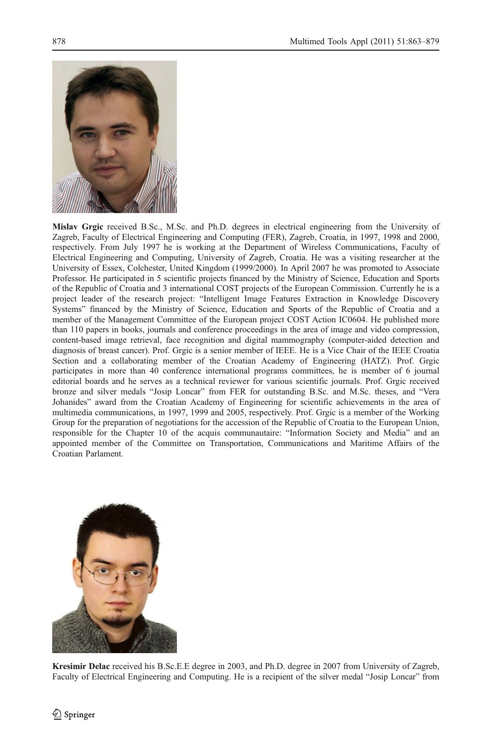

Mislav Grgic received B.Sc., M.Sc. and Ph.D. degrees in electrical engineering from the University of Zagreb, Faculty of Electrical Engineering and Computing (FER), Zagreb, Croatia, in 1997, 1998 and 2000, respectively. From July 1997 he is working at the Department of Wireless Communications, Faculty of Electrical Engineering and Computing, University of Zagreb, Croatia. He was a visiting researcher at the University of Essex, Colchester, United Kingdom (1999/2000). In April 2007 he was promoted to Associate Professor. He participated in 5 scientific projects financed by the Ministry of Science, Education and Sports of the Republic of Croatia and 3 international COST projects of the European Commission. Currently he is a project leader of the research project: "Intelligent Image Features Extraction in Knowledge Discovery Systems" financed by the Ministry of Science, Education and Sports of the Republic of Croatia and a member of the Management Committee of the European project COST Action IC0604. He published more than 110 papers in books, journals and conference proceedings in the area of image and video compression, content-based image retrieval, face recognition and digital mammography (computer-aided detection and diagnosis of breast cancer). Prof. Grgic is a senior member of IEEE. He is a Vice Chair of the IEEE Croatia Section and a collaborating member of the Croatian Academy of Engineering (HATZ). Prof. Grgic participates in more than 40 conference international programs committees, he is member of 6 journal editorial boards and he serves as a technical reviewer for various scientific journals. Prof. Grgic received bronze and silver medals "Josip Loncar" from FER for outstanding B.Sc. and M.Sc. theses, and "Vera Johanides" award from the Croatian Academy of Engineering for scientific achievements in the area of multimedia communications, in 1997, 1999 and 2005, respectively. Prof. Grgic is a member of the Working Group for the preparation of negotiations for the accession of the Republic of Croatia to the European Union, responsible for the Chapter 10 of the acquis communautaire: "Information Society and Media" and an appointed member of the Committee on Transportation, Communications and Maritime Affairs of the Croatian Parlament.



Kresimir Delac received his B.Sc.E.E degree in 2003, and Ph.D. degree in 2007 from University of Zagreb, Faculty of Electrical Engineering and Computing. He is a recipient of the silver medal "Josip Loncar" from